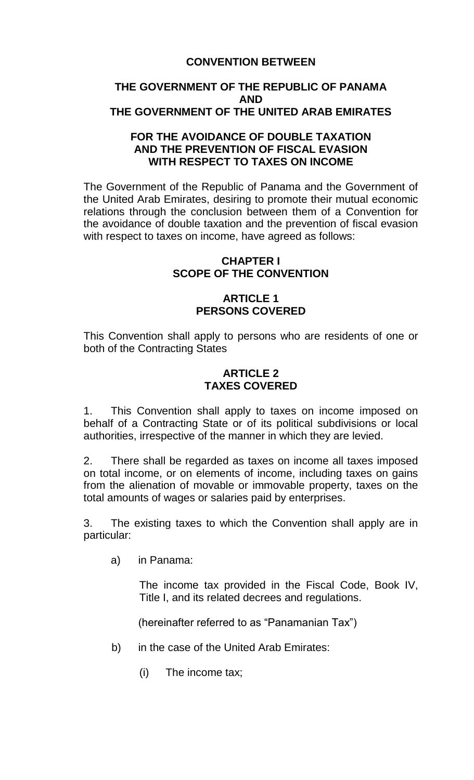# **CONVENTION BETWEEN**

# **THE GOVERNMENT OF THE REPUBLIC OF PANAMA AND THE GOVERNMENT OF THE UNITED ARAB EMIRATES**

### **FOR THE AVOIDANCE OF DOUBLE TAXATION AND THE PREVENTION OF FISCAL EVASION WITH RESPECT TO TAXES ON INCOME**

The Government of the Republic of Panama and the Government of the United Arab Emirates, desiring to promote their mutual economic relations through the conclusion between them of a Convention for the avoidance of double taxation and the prevention of fiscal evasion with respect to taxes on income, have agreed as follows:

#### **CHAPTER I SCOPE OF THE CONVENTION**

# **ARTICLE 1 PERSONS COVERED**

This Convention shall apply to persons who are residents of one or both of the Contracting States

#### **ARTICLE 2 TAXES COVERED**

1. This Convention shall apply to taxes on income imposed on behalf of a Contracting State or of its political subdivisions or local authorities, irrespective of the manner in which they are levied.

2. There shall be regarded as taxes on income all taxes imposed on total income, or on elements of income, including taxes on gains from the alienation of movable or immovable property, taxes on the total amounts of wages or salaries paid by enterprises.

3. The existing taxes to which the Convention shall apply are in particular:

a) in Panama:

The income tax provided in the Fiscal Code, Book IV, Title I, and its related decrees and regulations.

(hereinafter referred to as "Panamanian Tax")

- b) in the case of the United Arab Emirates:
	- (i) The income tax;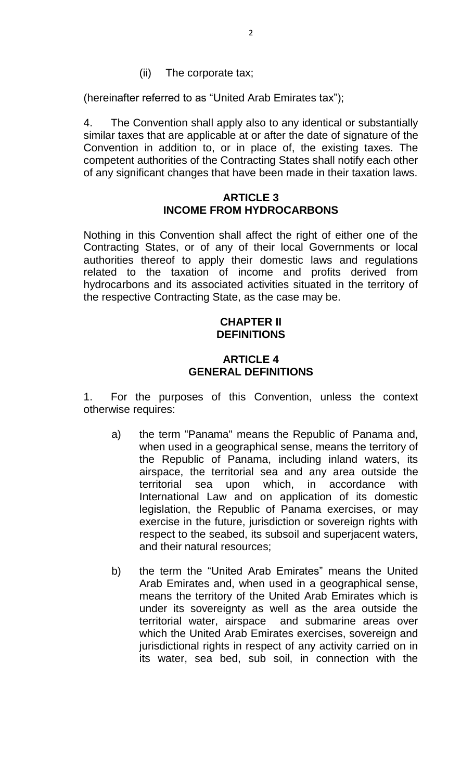(ii) The corporate tax;

(hereinafter referred to as "United Arab Emirates tax");

4. The Convention shall apply also to any identical or substantially similar taxes that are applicable at or after the date of signature of the Convention in addition to, or in place of, the existing taxes. The competent authorities of the Contracting States shall notify each other of any significant changes that have been made in their taxation laws.

#### **ARTICLE 3 INCOME FROM HYDROCARBONS**

Nothing in this Convention shall affect the right of either one of the Contracting States, or of any of their local Governments or local authorities thereof to apply their domestic laws and regulations related to the taxation of income and profits derived from hydrocarbons and its associated activities situated in the territory of the respective Contracting State, as the case may be.

### **CHAPTER II DEFINITIONS**

### **ARTICLE 4 GENERAL DEFINITIONS**

1. For the purposes of this Convention, unless the context otherwise requires:

- a) the term "Panama" means the Republic of Panama and, when used in a geographical sense, means the territory of the Republic of Panama, including inland waters, its airspace, the territorial sea and any area outside the territorial sea upon which, in accordance with International Law and on application of its domestic legislation, the Republic of Panama exercises, or may exercise in the future, jurisdiction or sovereign rights with respect to the seabed, its subsoil and superjacent waters, and their natural resources;
- b) the term the "United Arab Emirates" means the United Arab Emirates and, when used in a geographical sense, means the territory of the United Arab Emirates which is under its sovereignty as well as the area outside the territorial water, airspace and submarine areas over which the United Arab Emirates exercises, sovereign and jurisdictional rights in respect of any activity carried on in its water, sea bed, sub soil, in connection with the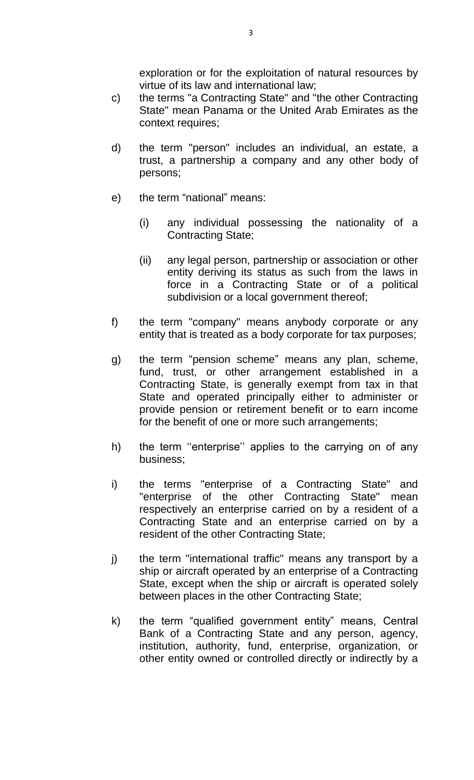exploration or for the exploitation of natural resources by virtue of its law and international law;

- c) the terms "a Contracting State" and "the other Contracting State" mean Panama or the United Arab Emirates as the context requires;
- d) the term "person" includes an individual, an estate, a trust, a partnership a company and any other body of persons;
- e) the term "national" means:
	- (i) any individual possessing the nationality of a Contracting State;
	- (ii) any legal person, partnership or association or other entity deriving its status as such from the laws in force in a Contracting State or of a political subdivision or a local government thereof;
- f) the term "company" means anybody corporate or any entity that is treated as a body corporate for tax purposes;
- g) the term "pension scheme" means any plan, scheme, fund, trust, or other arrangement established in a Contracting State, is generally exempt from tax in that State and operated principally either to administer or provide pension or retirement benefit or to earn income for the benefit of one or more such arrangements;
- h) the term ''enterprise'' applies to the carrying on of any business;
- i) the terms "enterprise of a Contracting State" and "enterprise of the other Contracting State" mean respectively an enterprise carried on by a resident of a Contracting State and an enterprise carried on by a resident of the other Contracting State;
- j) the term "international traffic" means any transport by a ship or aircraft operated by an enterprise of a Contracting State, except when the ship or aircraft is operated solely between places in the other Contracting State;
- k) the term "qualified government entity" means, Central Bank of a Contracting State and any person, agency, institution, authority, fund, enterprise, organization, or other entity owned or controlled directly or indirectly by a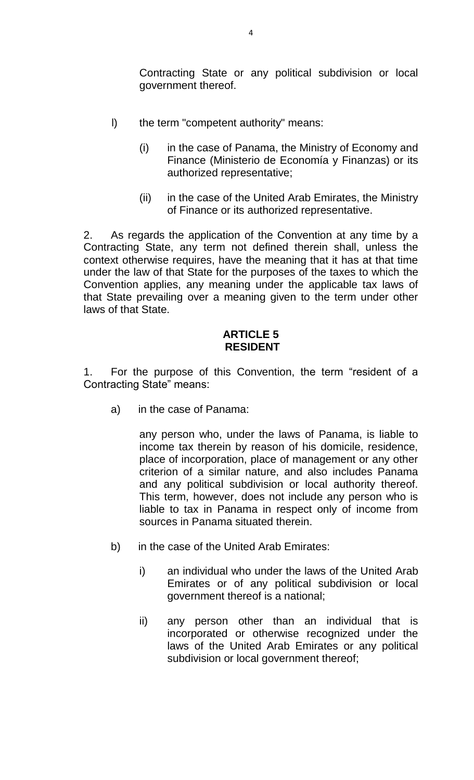Contracting State or any political subdivision or local government thereof.

- l) the term "competent authority" means:
	- (i) in the case of Panama, the Ministry of Economy and Finance (Ministerio de Economía y Finanzas) or its authorized representative;
	- (ii) in the case of the United Arab Emirates, the Ministry of Finance or its authorized representative.

2. As regards the application of the Convention at any time by a Contracting State, any term not defined therein shall, unless the context otherwise requires, have the meaning that it has at that time under the law of that State for the purposes of the taxes to which the Convention applies, any meaning under the applicable tax laws of that State prevailing over a meaning given to the term under other laws of that State.

# **ARTICLE 5 RESIDENT**

1. For the purpose of this Convention, the term "resident of a Contracting State" means:

a) in the case of Panama:

any person who, under the laws of Panama, is liable to income tax therein by reason of his domicile, residence, place of incorporation, place of management or any other criterion of a similar nature, and also includes Panama and any political subdivision or local authority thereof. This term, however, does not include any person who is liable to tax in Panama in respect only of income from sources in Panama situated therein.

- b) in the case of the United Arab Emirates:
	- i) an individual who under the laws of the United Arab Emirates or of any political subdivision or local government thereof is a national;
	- ii) any person other than an individual that is incorporated or otherwise recognized under the laws of the United Arab Emirates or any political subdivision or local government thereof;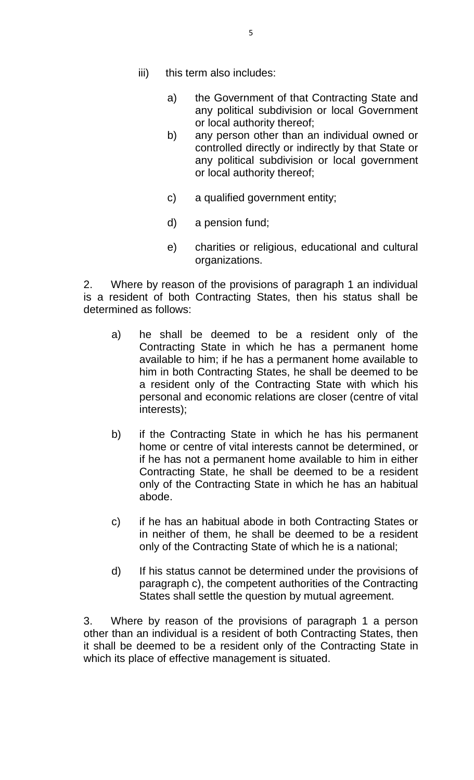- iii) this term also includes:
	- a) the Government of that Contracting State and any political subdivision or local Government or local authority thereof;
	- b) any person other than an individual owned or controlled directly or indirectly by that State or any political subdivision or local government or local authority thereof;
	- c) a qualified government entity;
	- d) a pension fund;
	- e) charities or religious, educational and cultural organizations.

2. Where by reason of the provisions of paragraph 1 an individual is a resident of both Contracting States, then his status shall be determined as follows:

- a) he shall be deemed to be a resident only of the Contracting State in which he has a permanent home available to him; if he has a permanent home available to him in both Contracting States, he shall be deemed to be a resident only of the Contracting State with which his personal and economic relations are closer (centre of vital interests);
- b) if the Contracting State in which he has his permanent home or centre of vital interests cannot be determined, or if he has not a permanent home available to him in either Contracting State, he shall be deemed to be a resident only of the Contracting State in which he has an habitual abode.
- c) if he has an habitual abode in both Contracting States or in neither of them, he shall be deemed to be a resident only of the Contracting State of which he is a national;
- d) If his status cannot be determined under the provisions of paragraph c), the competent authorities of the Contracting States shall settle the question by mutual agreement.

3. Where by reason of the provisions of paragraph 1 a person other than an individual is a resident of both Contracting States, then it shall be deemed to be a resident only of the Contracting State in which its place of effective management is situated.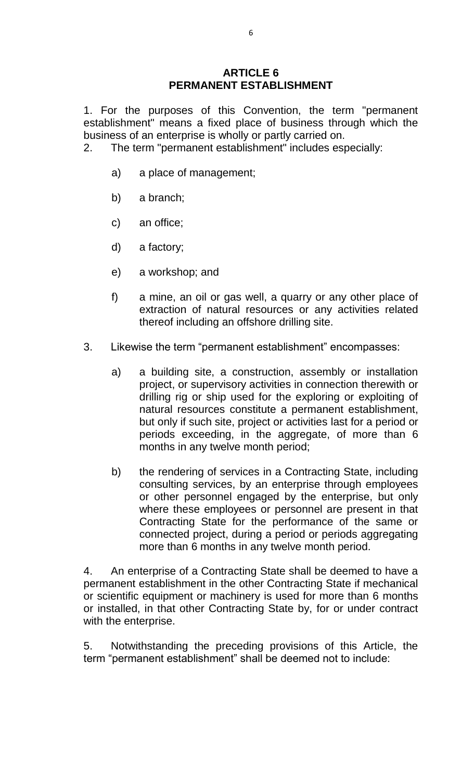### **ARTICLE 6 PERMANENT ESTABLISHMENT**

1. For the purposes of this Convention, the term "permanent establishment" means a fixed place of business through which the business of an enterprise is wholly or partly carried on.

2. The term "permanent establishment" includes especially:

- a) a place of management;
- b) a branch;
- c) an office;
- d) a factory;
- e) a workshop; and
- f) a mine, an oil or gas well, a quarry or any other place of extraction of natural resources or any activities related thereof including an offshore drilling site.
- 3. Likewise the term "permanent establishment" encompasses:
	- a) a building site, a construction, assembly or installation project, or supervisory activities in connection therewith or drilling rig or ship used for the exploring or exploiting of natural resources constitute a permanent establishment, but only if such site, project or activities last for a period or periods exceeding, in the aggregate, of more than 6 months in any twelve month period;
	- b) the rendering of services in a Contracting State, including consulting services, by an enterprise through employees or other personnel engaged by the enterprise, but only where these employees or personnel are present in that Contracting State for the performance of the same or connected project, during a period or periods aggregating more than 6 months in any twelve month period.

4. An enterprise of a Contracting State shall be deemed to have a permanent establishment in the other Contracting State if mechanical or scientific equipment or machinery is used for more than 6 months or installed, in that other Contracting State by, for or under contract with the enterprise.

5. Notwithstanding the preceding provisions of this Article, the term "permanent establishment" shall be deemed not to include: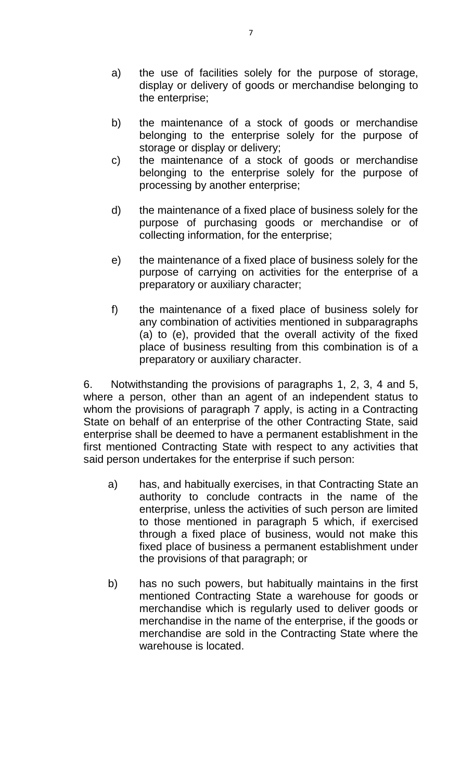- a) the use of facilities solely for the purpose of storage, display or delivery of goods or merchandise belonging to the enterprise;
- b) the maintenance of a stock of goods or merchandise belonging to the enterprise solely for the purpose of storage or display or delivery;
- c) the maintenance of a stock of goods or merchandise belonging to the enterprise solely for the purpose of processing by another enterprise;
- d) the maintenance of a fixed place of business solely for the purpose of purchasing goods or merchandise or of collecting information, for the enterprise;
- e) the maintenance of a fixed place of business solely for the purpose of carrying on activities for the enterprise of a preparatory or auxiliary character;
- f) the maintenance of a fixed place of business solely for any combination of activities mentioned in subparagraphs (a) to (e), provided that the overall activity of the fixed place of business resulting from this combination is of a preparatory or auxiliary character.

6. Notwithstanding the provisions of paragraphs 1, 2, 3, 4 and 5, where a person, other than an agent of an independent status to whom the provisions of paragraph 7 apply, is acting in a Contracting State on behalf of an enterprise of the other Contracting State, said enterprise shall be deemed to have a permanent establishment in the first mentioned Contracting State with respect to any activities that said person undertakes for the enterprise if such person:

- a) has, and habitually exercises, in that Contracting State an authority to conclude contracts in the name of the enterprise, unless the activities of such person are limited to those mentioned in paragraph 5 which, if exercised through a fixed place of business, would not make this fixed place of business a permanent establishment under the provisions of that paragraph; or
- b) has no such powers, but habitually maintains in the first mentioned Contracting State a warehouse for goods or merchandise which is regularly used to deliver goods or merchandise in the name of the enterprise, if the goods or merchandise are sold in the Contracting State where the warehouse is located.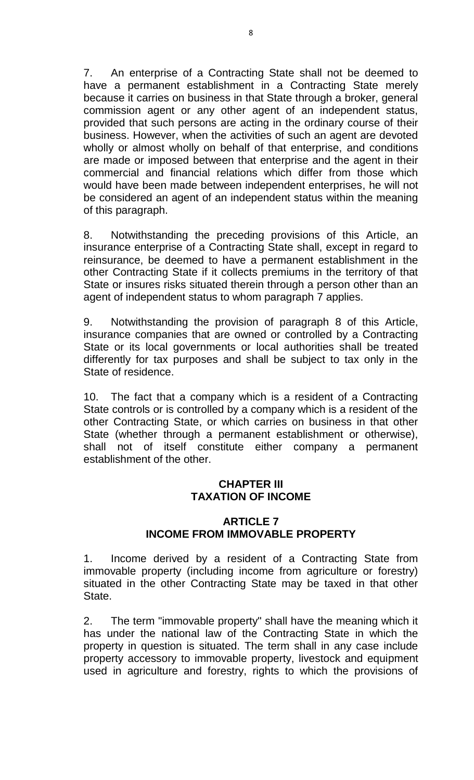7. An enterprise of a Contracting State shall not be deemed to have a permanent establishment in a Contracting State merely because it carries on business in that State through a broker, general commission agent or any other agent of an independent status, provided that such persons are acting in the ordinary course of their business. However, when the activities of such an agent are devoted wholly or almost wholly on behalf of that enterprise, and conditions are made or imposed between that enterprise and the agent in their commercial and financial relations which differ from those which would have been made between independent enterprises, he will not be considered an agent of an independent status within the meaning of this paragraph.

8. Notwithstanding the preceding provisions of this Article, an insurance enterprise of a Contracting State shall, except in regard to reinsurance, be deemed to have a permanent establishment in the other Contracting State if it collects premiums in the territory of that State or insures risks situated therein through a person other than an agent of independent status to whom paragraph 7 applies.

9. Notwithstanding the provision of paragraph 8 of this Article, insurance companies that are owned or controlled by a Contracting State or its local governments or local authorities shall be treated differently for tax purposes and shall be subject to tax only in the State of residence.

10. The fact that a company which is a resident of a Contracting State controls or is controlled by a company which is a resident of the other Contracting State, or which carries on business in that other State (whether through a permanent establishment or otherwise), shall not of itself constitute either company a permanent establishment of the other.

# **CHAPTER III TAXATION OF INCOME**

### **ARTICLE 7 INCOME FROM IMMOVABLE PROPERTY**

1. Income derived by a resident of a Contracting State from immovable property (including income from agriculture or forestry) situated in the other Contracting State may be taxed in that other State.

2. The term "immovable property" shall have the meaning which it has under the national law of the Contracting State in which the property in question is situated. The term shall in any case include property accessory to immovable property, livestock and equipment used in agriculture and forestry, rights to which the provisions of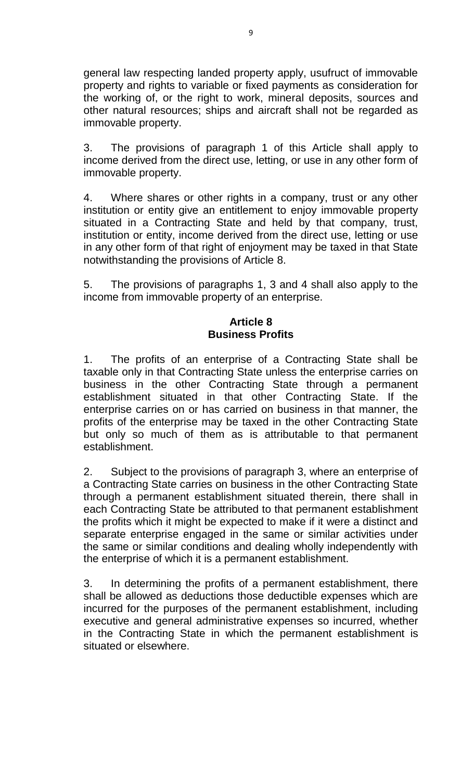general law respecting landed property apply, usufruct of immovable property and rights to variable or fixed payments as consideration for the working of, or the right to work, mineral deposits, sources and other natural resources; ships and aircraft shall not be regarded as immovable property.

3. The provisions of paragraph 1 of this Article shall apply to income derived from the direct use, letting, or use in any other form of immovable property.

4. Where shares or other rights in a company, trust or any other institution or entity give an entitlement to enjoy immovable property situated in a Contracting State and held by that company, trust, institution or entity, income derived from the direct use, letting or use in any other form of that right of enjoyment may be taxed in that State notwithstanding the provisions of Article 8.

5. The provisions of paragraphs 1, 3 and 4 shall also apply to the income from immovable property of an enterprise.

### **Article 8 Business Profits**

1. The profits of an enterprise of a Contracting State shall be taxable only in that Contracting State unless the enterprise carries on business in the other Contracting State through a permanent establishment situated in that other Contracting State. If the enterprise carries on or has carried on business in that manner, the profits of the enterprise may be taxed in the other Contracting State but only so much of them as is attributable to that permanent establishment.

2. Subject to the provisions of paragraph 3, where an enterprise of a Contracting State carries on business in the other Contracting State through a permanent establishment situated therein, there shall in each Contracting State be attributed to that permanent establishment the profits which it might be expected to make if it were a distinct and separate enterprise engaged in the same or similar activities under the same or similar conditions and dealing wholly independently with the enterprise of which it is a permanent establishment.

3. In determining the profits of a permanent establishment, there shall be allowed as deductions those deductible expenses which are incurred for the purposes of the permanent establishment, including executive and general administrative expenses so incurred, whether in the Contracting State in which the permanent establishment is situated or elsewhere.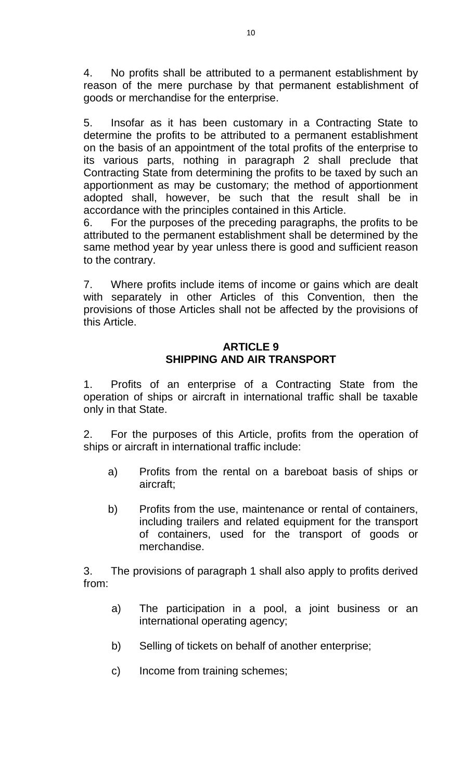4. No profits shall be attributed to a permanent establishment by reason of the mere purchase by that permanent establishment of goods or merchandise for the enterprise.

5. Insofar as it has been customary in a Contracting State to determine the profits to be attributed to a permanent establishment on the basis of an appointment of the total profits of the enterprise to its various parts, nothing in paragraph 2 shall preclude that Contracting State from determining the profits to be taxed by such an apportionment as may be customary; the method of apportionment adopted shall, however, be such that the result shall be in accordance with the principles contained in this Article.

6. For the purposes of the preceding paragraphs, the profits to be attributed to the permanent establishment shall be determined by the same method year by year unless there is good and sufficient reason to the contrary.

7. Where profits include items of income or gains which are dealt with separately in other Articles of this Convention, then the provisions of those Articles shall not be affected by the provisions of this Article.

# **ARTICLE 9 SHIPPING AND AIR TRANSPORT**

1. Profits of an enterprise of a Contracting State from the operation of ships or aircraft in international traffic shall be taxable only in that State.

2. For the purposes of this Article, profits from the operation of ships or aircraft in international traffic include:

- a) Profits from the rental on a bareboat basis of ships or aircraft;
- b) Profits from the use, maintenance or rental of containers, including trailers and related equipment for the transport of containers, used for the transport of goods or merchandise.

3. The provisions of paragraph 1 shall also apply to profits derived from:

- a) The participation in a pool, a joint business or an international operating agency;
- b) Selling of tickets on behalf of another enterprise;
- c) Income from training schemes;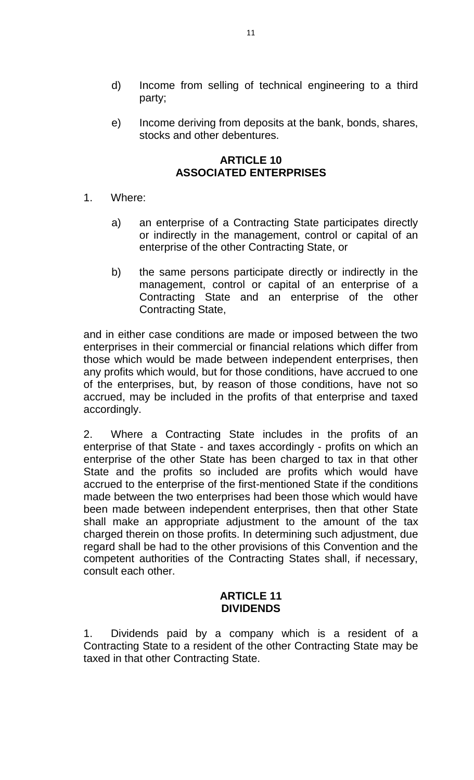- d) Income from selling of technical engineering to a third party;
- e) Income deriving from deposits at the bank, bonds, shares, stocks and other debentures.

# **ARTICLE 10 ASSOCIATED ENTERPRISES**

- 1. Where:
	- a) an enterprise of a Contracting State participates directly or indirectly in the management, control or capital of an enterprise of the other Contracting State, or
	- b) the same persons participate directly or indirectly in the management, control or capital of an enterprise of a Contracting State and an enterprise of the other Contracting State,

and in either case conditions are made or imposed between the two enterprises in their commercial or financial relations which differ from those which would be made between independent enterprises, then any profits which would, but for those conditions, have accrued to one of the enterprises, but, by reason of those conditions, have not so accrued, may be included in the profits of that enterprise and taxed accordingly.

2. Where a Contracting State includes in the profits of an enterprise of that State - and taxes accordingly - profits on which an enterprise of the other State has been charged to tax in that other State and the profits so included are profits which would have accrued to the enterprise of the first-mentioned State if the conditions made between the two enterprises had been those which would have been made between independent enterprises, then that other State shall make an appropriate adjustment to the amount of the tax charged therein on those profits. In determining such adjustment, due regard shall be had to the other provisions of this Convention and the competent authorities of the Contracting States shall, if necessary, consult each other.

### **ARTICLE 11 DIVIDENDS**

1. Dividends paid by a company which is a resident of a Contracting State to a resident of the other Contracting State may be taxed in that other Contracting State.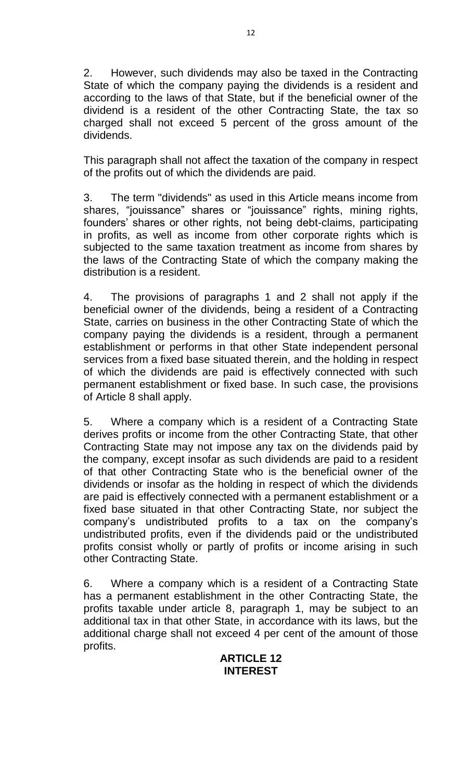2. However, such dividends may also be taxed in the Contracting State of which the company paying the dividends is a resident and according to the laws of that State, but if the beneficial owner of the dividend is a resident of the other Contracting State, the tax so charged shall not exceed 5 percent of the gross amount of the dividends.

This paragraph shall not affect the taxation of the company in respect of the profits out of which the dividends are paid.

3. The term "dividends" as used in this Article means income from shares, "jouissance" shares or "jouissance" rights, mining rights, founders' shares or other rights, not being debt-claims, participating in profits, as well as income from other corporate rights which is subjected to the same taxation treatment as income from shares by the laws of the Contracting State of which the company making the distribution is a resident.

4. The provisions of paragraphs 1 and 2 shall not apply if the beneficial owner of the dividends, being a resident of a Contracting State, carries on business in the other Contracting State of which the company paying the dividends is a resident, through a permanent establishment or performs in that other State independent personal services from a fixed base situated therein, and the holding in respect of which the dividends are paid is effectively connected with such permanent establishment or fixed base. In such case, the provisions of Article 8 shall apply.

5. Where a company which is a resident of a Contracting State derives profits or income from the other Contracting State, that other Contracting State may not impose any tax on the dividends paid by the company, except insofar as such dividends are paid to a resident of that other Contracting State who is the beneficial owner of the dividends or insofar as the holding in respect of which the dividends are paid is effectively connected with a permanent establishment or a fixed base situated in that other Contracting State, nor subject the company's undistributed profits to a tax on the company's undistributed profits, even if the dividends paid or the undistributed profits consist wholly or partly of profits or income arising in such other Contracting State.

6. Where a company which is a resident of a Contracting State has a permanent establishment in the other Contracting State, the profits taxable under article 8, paragraph 1, may be subject to an additional tax in that other State, in accordance with its laws, but the additional charge shall not exceed 4 per cent of the amount of those profits.

# **ARTICLE 12 INTEREST**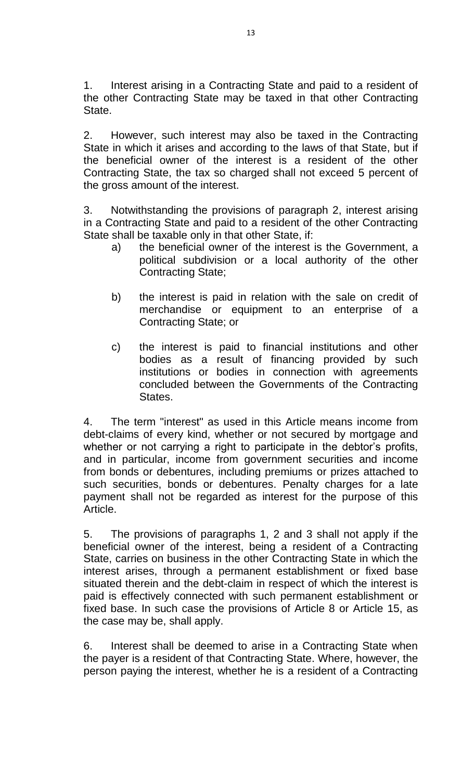1. Interest arising in a Contracting State and paid to a resident of the other Contracting State may be taxed in that other Contracting State.

2. However, such interest may also be taxed in the Contracting State in which it arises and according to the laws of that State, but if the beneficial owner of the interest is a resident of the other Contracting State, the tax so charged shall not exceed 5 percent of the gross amount of the interest.

3. Notwithstanding the provisions of paragraph 2, interest arising in a Contracting State and paid to a resident of the other Contracting State shall be taxable only in that other State, if:

- a) the beneficial owner of the interest is the Government, a political subdivision or a local authority of the other Contracting State;
- b) the interest is paid in relation with the sale on credit of merchandise or equipment to an enterprise of a Contracting State; or
- c) the interest is paid to financial institutions and other bodies as a result of financing provided by such institutions or bodies in connection with agreements concluded between the Governments of the Contracting States.

4. The term "interest" as used in this Article means income from debt-claims of every kind, whether or not secured by mortgage and whether or not carrying a right to participate in the debtor's profits, and in particular, income from government securities and income from bonds or debentures, including premiums or prizes attached to such securities, bonds or debentures. Penalty charges for a late payment shall not be regarded as interest for the purpose of this Article.

5. The provisions of paragraphs 1, 2 and 3 shall not apply if the beneficial owner of the interest, being a resident of a Contracting State, carries on business in the other Contracting State in which the interest arises, through a permanent establishment or fixed base situated therein and the debt-claim in respect of which the interest is paid is effectively connected with such permanent establishment or fixed base. In such case the provisions of Article 8 or Article 15, as the case may be, shall apply.

6. Interest shall be deemed to arise in a Contracting State when the payer is a resident of that Contracting State. Where, however, the person paying the interest, whether he is a resident of a Contracting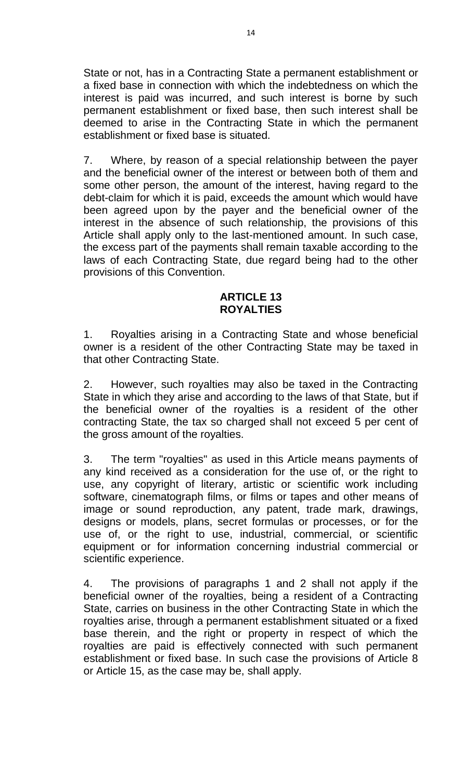State or not, has in a Contracting State a permanent establishment or a fixed base in connection with which the indebtedness on which the interest is paid was incurred, and such interest is borne by such permanent establishment or fixed base, then such interest shall be deemed to arise in the Contracting State in which the permanent establishment or fixed base is situated.

7. Where, by reason of a special relationship between the payer and the beneficial owner of the interest or between both of them and some other person, the amount of the interest, having regard to the debt-claim for which it is paid, exceeds the amount which would have been agreed upon by the payer and the beneficial owner of the interest in the absence of such relationship, the provisions of this Article shall apply only to the last-mentioned amount. In such case, the excess part of the payments shall remain taxable according to the laws of each Contracting State, due regard being had to the other provisions of this Convention.

### **ARTICLE 13 ROYALTIES**

1. Royalties arising in a Contracting State and whose beneficial owner is a resident of the other Contracting State may be taxed in that other Contracting State.

2. However, such royalties may also be taxed in the Contracting State in which they arise and according to the laws of that State, but if the beneficial owner of the royalties is a resident of the other contracting State, the tax so charged shall not exceed 5 per cent of the gross amount of the royalties.

3. The term "royalties" as used in this Article means payments of any kind received as a consideration for the use of, or the right to use, any copyright of literary, artistic or scientific work including software, cinematograph films, or films or tapes and other means of image or sound reproduction, any patent, trade mark, drawings, designs or models, plans, secret formulas or processes, or for the use of, or the right to use, industrial, commercial, or scientific equipment or for information concerning industrial commercial or scientific experience.

4. The provisions of paragraphs 1 and 2 shall not apply if the beneficial owner of the royalties, being a resident of a Contracting State, carries on business in the other Contracting State in which the royalties arise, through a permanent establishment situated or a fixed base therein, and the right or property in respect of which the royalties are paid is effectively connected with such permanent establishment or fixed base. In such case the provisions of Article 8 or Article 15, as the case may be, shall apply.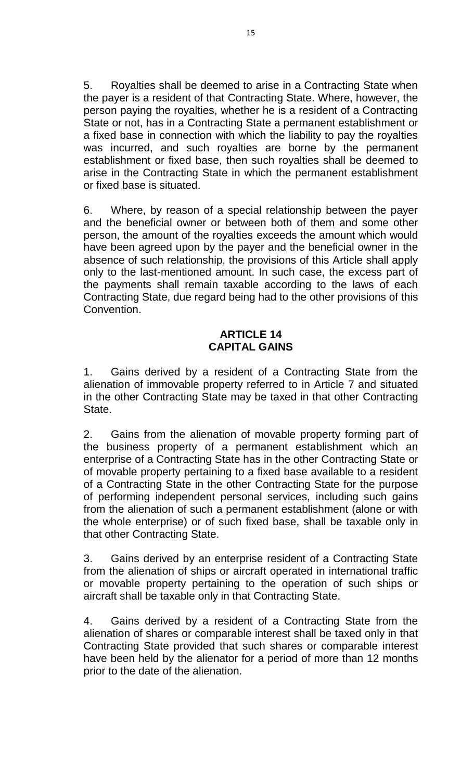5. Royalties shall be deemed to arise in a Contracting State when the payer is a resident of that Contracting State. Where, however, the person paying the royalties, whether he is a resident of a Contracting State or not, has in a Contracting State a permanent establishment or a fixed base in connection with which the liability to pay the royalties was incurred, and such royalties are borne by the permanent establishment or fixed base, then such royalties shall be deemed to arise in the Contracting State in which the permanent establishment or fixed base is situated.

6. Where, by reason of a special relationship between the payer and the beneficial owner or between both of them and some other person, the amount of the royalties exceeds the amount which would have been agreed upon by the payer and the beneficial owner in the absence of such relationship, the provisions of this Article shall apply only to the last-mentioned amount. In such case, the excess part of the payments shall remain taxable according to the laws of each Contracting State, due regard being had to the other provisions of this Convention.

# **ARTICLE 14 CAPITAL GAINS**

1. Gains derived by a resident of a Contracting State from the alienation of immovable property referred to in Article 7 and situated in the other Contracting State may be taxed in that other Contracting State.

2. Gains from the alienation of movable property forming part of the business property of a permanent establishment which an enterprise of a Contracting State has in the other Contracting State or of movable property pertaining to a fixed base available to a resident of a Contracting State in the other Contracting State for the purpose of performing independent personal services, including such gains from the alienation of such a permanent establishment (alone or with the whole enterprise) or of such fixed base, shall be taxable only in that other Contracting State.

3. Gains derived by an enterprise resident of a Contracting State from the alienation of ships or aircraft operated in international traffic or movable property pertaining to the operation of such ships or aircraft shall be taxable only in that Contracting State.

4. Gains derived by a resident of a Contracting State from the alienation of shares or comparable interest shall be taxed only in that Contracting State provided that such shares or comparable interest have been held by the alienator for a period of more than 12 months prior to the date of the alienation.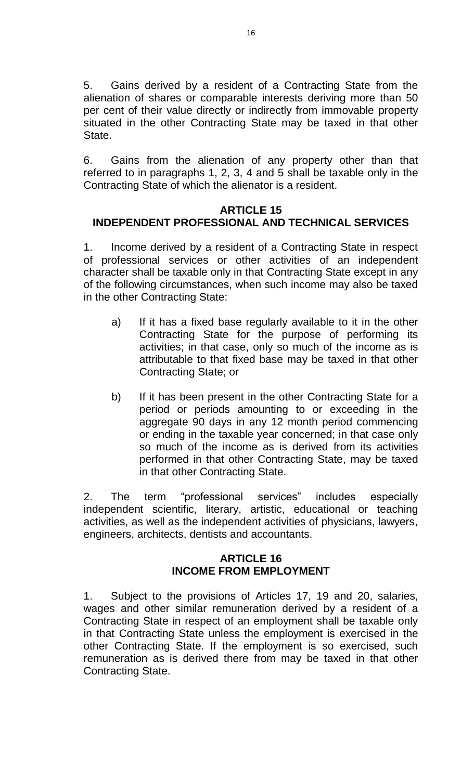5. Gains derived by a resident of a Contracting State from the alienation of shares or comparable interests deriving more than 50 per cent of their value directly or indirectly from immovable property situated in the other Contracting State may be taxed in that other State.

6. Gains from the alienation of any property other than that referred to in paragraphs 1, 2, 3, 4 and 5 shall be taxable only in the Contracting State of which the alienator is a resident.

# **ARTICLE 15 INDEPENDENT PROFESSIONAL AND TECHNICAL SERVICES**

1. Income derived by a resident of a Contracting State in respect of professional services or other activities of an independent character shall be taxable only in that Contracting State except in any of the following circumstances, when such income may also be taxed in the other Contracting State:

- a) If it has a fixed base regularly available to it in the other Contracting State for the purpose of performing its activities; in that case, only so much of the income as is attributable to that fixed base may be taxed in that other Contracting State; or
- b) If it has been present in the other Contracting State for a period or periods amounting to or exceeding in the aggregate 90 days in any 12 month period commencing or ending in the taxable year concerned; in that case only so much of the income as is derived from its activities performed in that other Contracting State, may be taxed in that other Contracting State.

2. The term "professional services" includes especially independent scientific, literary, artistic, educational or teaching activities, as well as the independent activities of physicians, lawyers, engineers, architects, dentists and accountants.

# **ARTICLE 16 INCOME FROM EMPLOYMENT**

1. Subject to the provisions of Articles 17, 19 and 20, salaries, wages and other similar remuneration derived by a resident of a Contracting State in respect of an employment shall be taxable only in that Contracting State unless the employment is exercised in the other Contracting State. If the employment is so exercised, such remuneration as is derived there from may be taxed in that other Contracting State.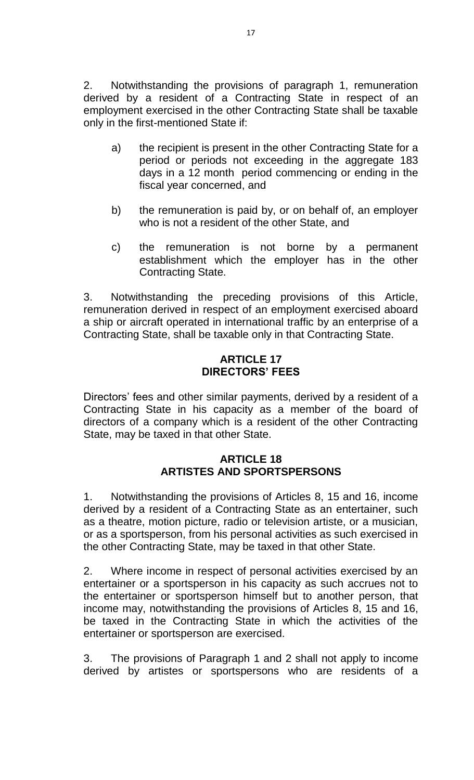2. Notwithstanding the provisions of paragraph 1, remuneration derived by a resident of a Contracting State in respect of an employment exercised in the other Contracting State shall be taxable only in the first-mentioned State if:

- a) the recipient is present in the other Contracting State for a period or periods not exceeding in the aggregate 183 days in a 12 month period commencing or ending in the fiscal year concerned, and
- b) the remuneration is paid by, or on behalf of, an employer who is not a resident of the other State, and
- c) the remuneration is not borne by a permanent establishment which the employer has in the other Contracting State.

3. Notwithstanding the preceding provisions of this Article, remuneration derived in respect of an employment exercised aboard a ship or aircraft operated in international traffic by an enterprise of a Contracting State, shall be taxable only in that Contracting State.

# **ARTICLE 17 DIRECTORS' FEES**

Directors' fees and other similar payments, derived by a resident of a Contracting State in his capacity as a member of the board of directors of a company which is a resident of the other Contracting State, may be taxed in that other State.

### **ARTICLE 18 ARTISTES AND SPORTSPERSONS**

1. Notwithstanding the provisions of Articles 8, 15 and 16, income derived by a resident of a Contracting State as an entertainer, such as a theatre, motion picture, radio or television artiste, or a musician, or as a sportsperson, from his personal activities as such exercised in the other Contracting State, may be taxed in that other State.

2. Where income in respect of personal activities exercised by an entertainer or a sportsperson in his capacity as such accrues not to the entertainer or sportsperson himself but to another person, that income may, notwithstanding the provisions of Articles 8, 15 and 16, be taxed in the Contracting State in which the activities of the entertainer or sportsperson are exercised.

3. The provisions of Paragraph 1 and 2 shall not apply to income derived by artistes or sportspersons who are residents of a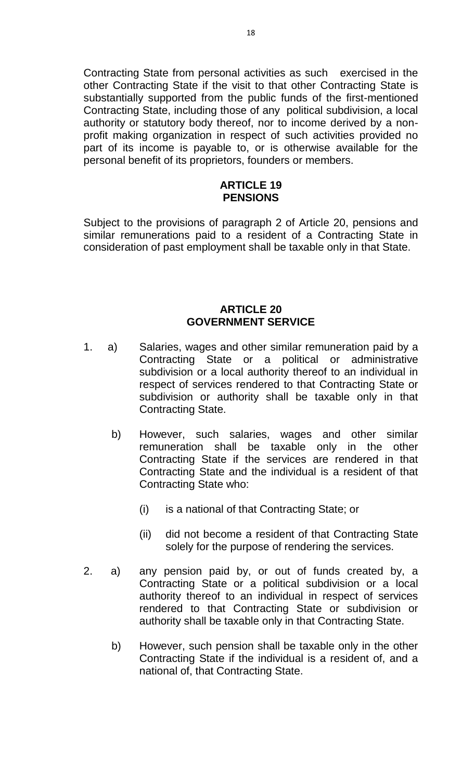Contracting State from personal activities as such exercised in the other Contracting State if the visit to that other Contracting State is substantially supported from the public funds of the first-mentioned Contracting State, including those of any political subdivision, a local authority or statutory body thereof, nor to income derived by a nonprofit making organization in respect of such activities provided no part of its income is payable to, or is otherwise available for the personal benefit of its proprietors, founders or members.

#### **ARTICLE 19 PENSIONS**

Subject to the provisions of paragraph 2 of Article 20, pensions and similar remunerations paid to a resident of a Contracting State in consideration of past employment shall be taxable only in that State.

### **ARTICLE 20 GOVERNMENT SERVICE**

- 1. a) Salaries, wages and other similar remuneration paid by a Contracting State or a political or administrative subdivision or a local authority thereof to an individual in respect of services rendered to that Contracting State or subdivision or authority shall be taxable only in that Contracting State.
	- b) However, such salaries, wages and other similar remuneration shall be taxable only in the other Contracting State if the services are rendered in that Contracting State and the individual is a resident of that Contracting State who:
		- (i) is a national of that Contracting State; or
		- (ii) did not become a resident of that Contracting State solely for the purpose of rendering the services.
- 2. a) any pension paid by, or out of funds created by, a Contracting State or a political subdivision or a local authority thereof to an individual in respect of services rendered to that Contracting State or subdivision or authority shall be taxable only in that Contracting State.
	- b) However, such pension shall be taxable only in the other Contracting State if the individual is a resident of, and a national of, that Contracting State.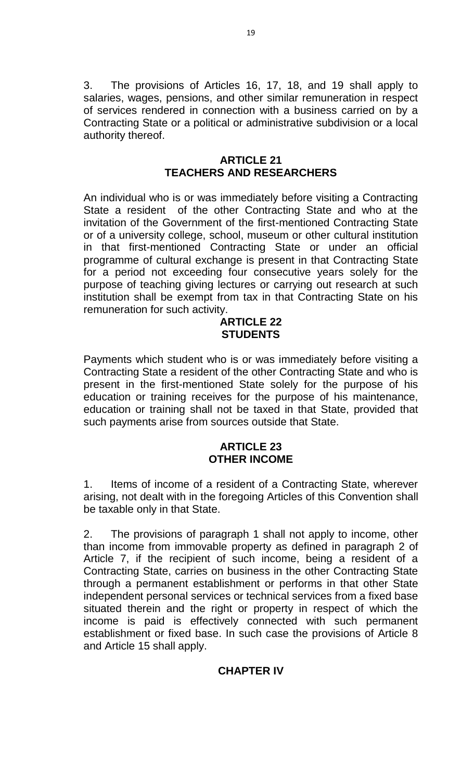3. The provisions of Articles 16, 17, 18, and 19 shall apply to salaries, wages, pensions, and other similar remuneration in respect of services rendered in connection with a business carried on by a Contracting State or a political or administrative subdivision or a local authority thereof.

# **ARTICLE 21 TEACHERS AND RESEARCHERS**

An individual who is or was immediately before visiting a Contracting State a resident of the other Contracting State and who at the invitation of the Government of the first-mentioned Contracting State or of a university college, school, museum or other cultural institution in that first-mentioned Contracting State or under an official programme of cultural exchange is present in that Contracting State for a period not exceeding four consecutive years solely for the purpose of teaching giving lectures or carrying out research at such institution shall be exempt from tax in that Contracting State on his remuneration for such activity.

#### **ARTICLE 22 STUDENTS**

Payments which student who is or was immediately before visiting a Contracting State a resident of the other Contracting State and who is present in the first-mentioned State solely for the purpose of his education or training receives for the purpose of his maintenance, education or training shall not be taxed in that State, provided that such payments arise from sources outside that State.

### **ARTICLE 23 OTHER INCOME**

1. Items of income of a resident of a Contracting State, wherever arising, not dealt with in the foregoing Articles of this Convention shall be taxable only in that State.

2. The provisions of paragraph 1 shall not apply to income, other than income from immovable property as defined in paragraph 2 of Article 7, if the recipient of such income, being a resident of a Contracting State, carries on business in the other Contracting State through a permanent establishment or performs in that other State independent personal services or technical services from a fixed base situated therein and the right or property in respect of which the income is paid is effectively connected with such permanent establishment or fixed base. In such case the provisions of Article 8 and Article 15 shall apply.

# **CHAPTER IV**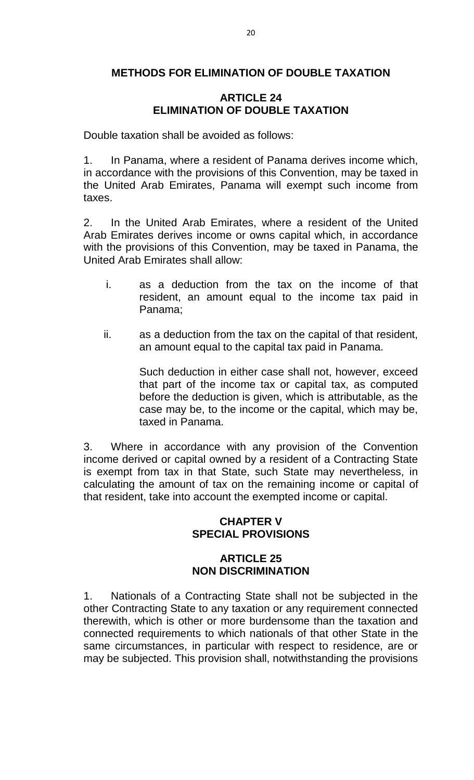# **METHODS FOR ELIMINATION OF DOUBLE TAXATION**

# **ARTICLE 24 ELIMINATION OF DOUBLE TAXATION**

Double taxation shall be avoided as follows:

1. In Panama, where a resident of Panama derives income which, in accordance with the provisions of this Convention, may be taxed in the United Arab Emirates, Panama will exempt such income from taxes.

2. In the United Arab Emirates, where a resident of the United Arab Emirates derives income or owns capital which, in accordance with the provisions of this Convention, may be taxed in Panama, the United Arab Emirates shall allow:

- i. as a deduction from the tax on the income of that resident, an amount equal to the income tax paid in Panama;
- ii. as a deduction from the tax on the capital of that resident, an amount equal to the capital tax paid in Panama.

Such deduction in either case shall not, however, exceed that part of the income tax or capital tax, as computed before the deduction is given, which is attributable, as the case may be, to the income or the capital, which may be, taxed in Panama.

3. Where in accordance with any provision of the Convention income derived or capital owned by a resident of a Contracting State is exempt from tax in that State, such State may nevertheless, in calculating the amount of tax on the remaining income or capital of that resident, take into account the exempted income or capital.

# **CHAPTER V SPECIAL PROVISIONS**

# **ARTICLE 25 NON DISCRIMINATION**

1. Nationals of a Contracting State shall not be subjected in the other Contracting State to any taxation or any requirement connected therewith, which is other or more burdensome than the taxation and connected requirements to which nationals of that other State in the same circumstances, in particular with respect to residence, are or may be subjected. This provision shall, notwithstanding the provisions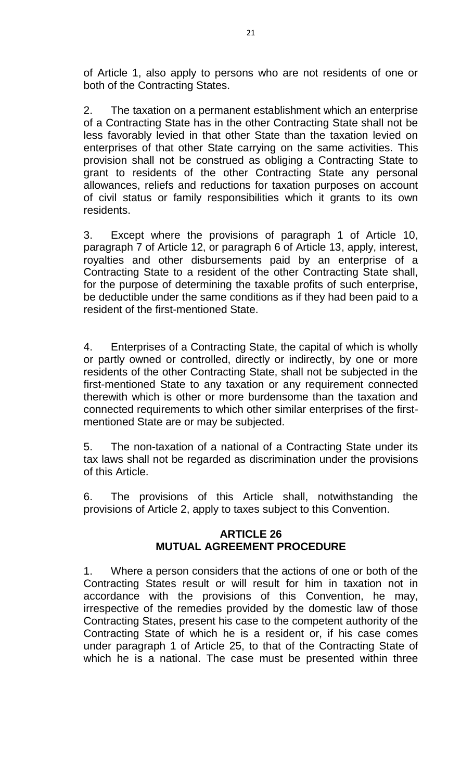of Article 1, also apply to persons who are not residents of one or both of the Contracting States.

2. The taxation on a permanent establishment which an enterprise of a Contracting State has in the other Contracting State shall not be less favorably levied in that other State than the taxation levied on enterprises of that other State carrying on the same activities. This provision shall not be construed as obliging a Contracting State to grant to residents of the other Contracting State any personal allowances, reliefs and reductions for taxation purposes on account of civil status or family responsibilities which it grants to its own residents.

3. Except where the provisions of paragraph 1 of Article 10, paragraph 7 of Article 12, or paragraph 6 of Article 13, apply, interest, royalties and other disbursements paid by an enterprise of a Contracting State to a resident of the other Contracting State shall, for the purpose of determining the taxable profits of such enterprise, be deductible under the same conditions as if they had been paid to a resident of the first-mentioned State.

4. Enterprises of a Contracting State, the capital of which is wholly or partly owned or controlled, directly or indirectly, by one or more residents of the other Contracting State, shall not be subjected in the first-mentioned State to any taxation or any requirement connected therewith which is other or more burdensome than the taxation and connected requirements to which other similar enterprises of the firstmentioned State are or may be subjected.

5. The non-taxation of a national of a Contracting State under its tax laws shall not be regarded as discrimination under the provisions of this Article.

6. The provisions of this Article shall, notwithstanding the provisions of Article 2, apply to taxes subject to this Convention.

### **ARTICLE 26 MUTUAL AGREEMENT PROCEDURE**

1. Where a person considers that the actions of one or both of the Contracting States result or will result for him in taxation not in accordance with the provisions of this Convention, he may, irrespective of the remedies provided by the domestic law of those Contracting States, present his case to the competent authority of the Contracting State of which he is a resident or, if his case comes under paragraph 1 of Article 25, to that of the Contracting State of which he is a national. The case must be presented within three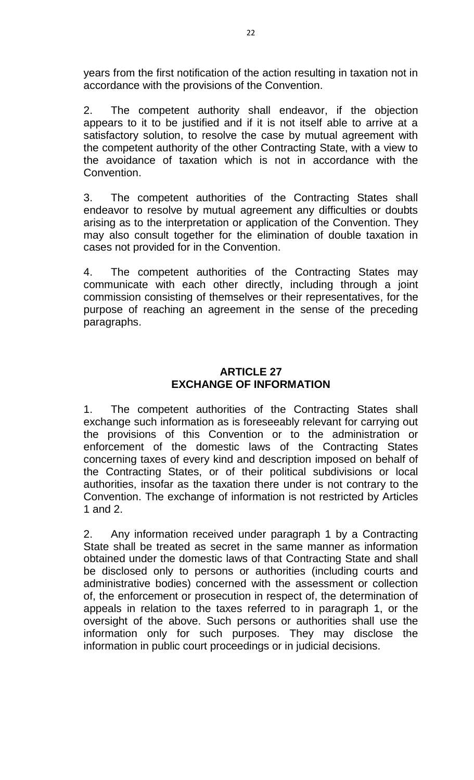years from the first notification of the action resulting in taxation not in accordance with the provisions of the Convention.

2. The competent authority shall endeavor, if the objection appears to it to be justified and if it is not itself able to arrive at a satisfactory solution, to resolve the case by mutual agreement with the competent authority of the other Contracting State, with a view to the avoidance of taxation which is not in accordance with the **Convention** 

3. The competent authorities of the Contracting States shall endeavor to resolve by mutual agreement any difficulties or doubts arising as to the interpretation or application of the Convention. They may also consult together for the elimination of double taxation in cases not provided for in the Convention.

4. The competent authorities of the Contracting States may communicate with each other directly, including through a joint commission consisting of themselves or their representatives, for the purpose of reaching an agreement in the sense of the preceding paragraphs.

# **ARTICLE 27 EXCHANGE OF INFORMATION**

1. The competent authorities of the Contracting States shall exchange such information as is foreseeably relevant for carrying out the provisions of this Convention or to the administration or enforcement of the domestic laws of the Contracting States concerning taxes of every kind and description imposed on behalf of the Contracting States, or of their political subdivisions or local authorities, insofar as the taxation there under is not contrary to the Convention. The exchange of information is not restricted by Articles 1 and 2.

2. Any information received under paragraph 1 by a Contracting State shall be treated as secret in the same manner as information obtained under the domestic laws of that Contracting State and shall be disclosed only to persons or authorities (including courts and administrative bodies) concerned with the assessment or collection of, the enforcement or prosecution in respect of, the determination of appeals in relation to the taxes referred to in paragraph 1, or the oversight of the above. Such persons or authorities shall use the information only for such purposes. They may disclose the information in public court proceedings or in judicial decisions.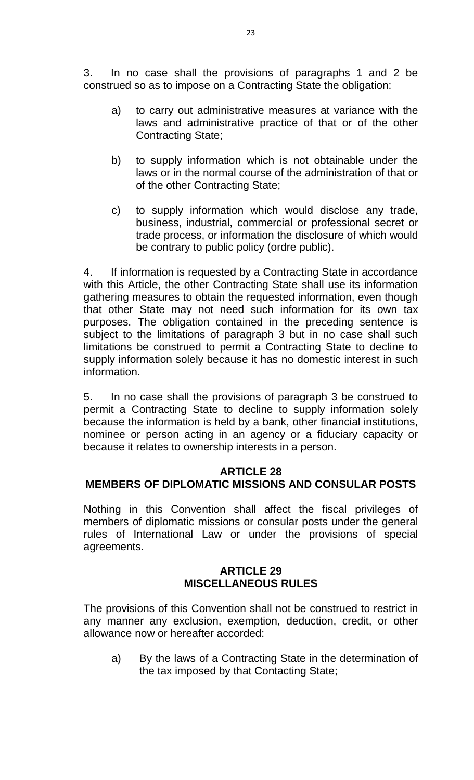3. In no case shall the provisions of paragraphs 1 and 2 be construed so as to impose on a Contracting State the obligation:

- a) to carry out administrative measures at variance with the laws and administrative practice of that or of the other Contracting State;
- b) to supply information which is not obtainable under the laws or in the normal course of the administration of that or of the other Contracting State;
- c) to supply information which would disclose any trade, business, industrial, commercial or professional secret or trade process, or information the disclosure of which would be contrary to public policy (ordre public).

4. If information is requested by a Contracting State in accordance with this Article, the other Contracting State shall use its information gathering measures to obtain the requested information, even though that other State may not need such information for its own tax purposes. The obligation contained in the preceding sentence is subject to the limitations of paragraph 3 but in no case shall such limitations be construed to permit a Contracting State to decline to supply information solely because it has no domestic interest in such information.

5. In no case shall the provisions of paragraph 3 be construed to permit a Contracting State to decline to supply information solely because the information is held by a bank, other financial institutions, nominee or person acting in an agency or a fiduciary capacity or because it relates to ownership interests in a person.

# **ARTICLE 28**

# **MEMBERS OF DIPLOMATIC MISSIONS AND CONSULAR POSTS**

Nothing in this Convention shall affect the fiscal privileges of members of diplomatic missions or consular posts under the general rules of International Law or under the provisions of special agreements.

#### **ARTICLE 29 MISCELLANEOUS RULES**

The provisions of this Convention shall not be construed to restrict in any manner any exclusion, exemption, deduction, credit, or other allowance now or hereafter accorded:

a) By the laws of a Contracting State in the determination of the tax imposed by that Contacting State;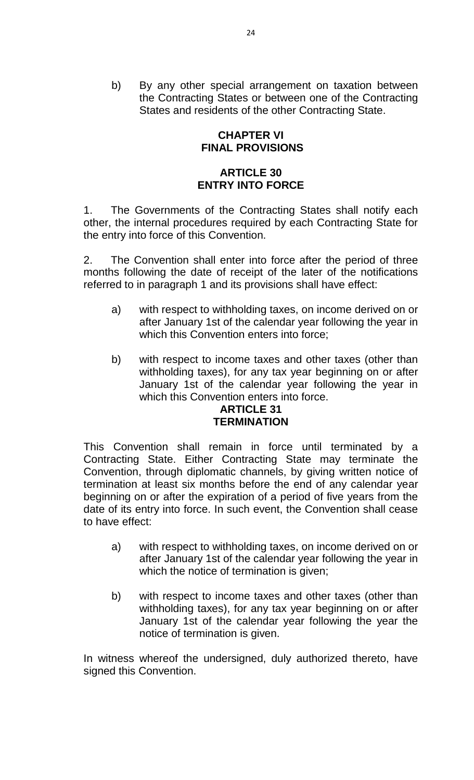b) By any other special arrangement on taxation between the Contracting States or between one of the Contracting States and residents of the other Contracting State.

# **CHAPTER VI FINAL PROVISIONS**

# **ARTICLE 30 ENTRY INTO FORCE**

1. The Governments of the Contracting States shall notify each other, the internal procedures required by each Contracting State for the entry into force of this Convention.

2. The Convention shall enter into force after the period of three months following the date of receipt of the later of the notifications referred to in paragraph 1 and its provisions shall have effect:

- a) with respect to withholding taxes, on income derived on or after January 1st of the calendar year following the year in which this Convention enters into force;
- b) with respect to income taxes and other taxes (other than withholding taxes), for any tax year beginning on or after January 1st of the calendar year following the year in which this Convention enters into force.

# **ARTICLE 31 TERMINATION**

This Convention shall remain in force until terminated by a Contracting State. Either Contracting State may terminate the Convention, through diplomatic channels, by giving written notice of termination at least six months before the end of any calendar year beginning on or after the expiration of a period of five years from the date of its entry into force. In such event, the Convention shall cease to have effect:

- a) with respect to withholding taxes, on income derived on or after January 1st of the calendar year following the year in which the notice of termination is given;
- b) with respect to income taxes and other taxes (other than withholding taxes), for any tax year beginning on or after January 1st of the calendar year following the year the notice of termination is given.

In witness whereof the undersigned, duly authorized thereto, have signed this Convention.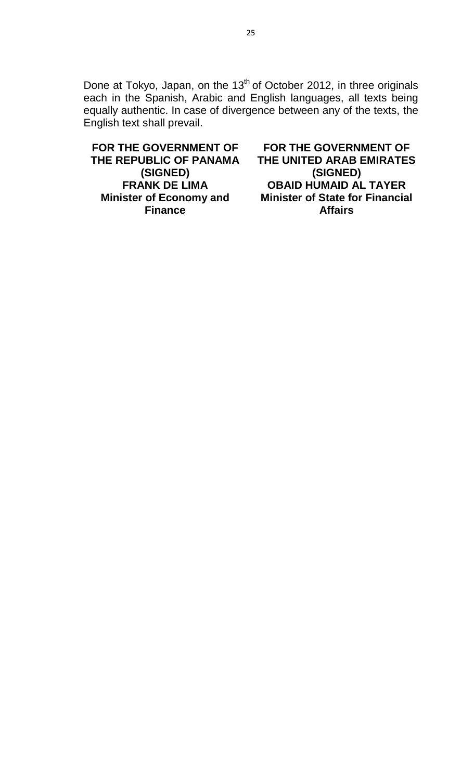Done at Tokyo, Japan, on the 13<sup>th</sup> of October 2012, in three originals each in the Spanish, Arabic and English languages, all texts being equally authentic. In case of divergence between any of the texts, the English text shall prevail.

**FOR THE GOVERNMENT OF THE REPUBLIC OF PANAMA (SIGNED) FRANK DE LIMA Minister of Economy and Finance**

**FOR THE GOVERNMENT OF THE UNITED ARAB EMIRATES (SIGNED) OBAID HUMAID AL TAYER Minister of State for Financial Affairs**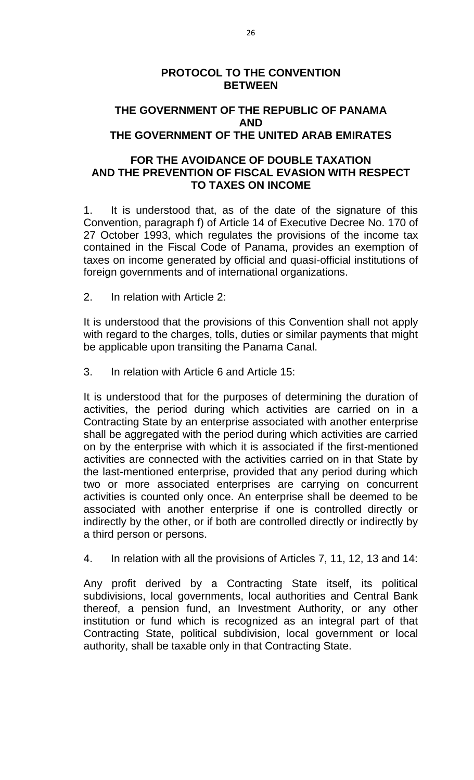# **PROTOCOL TO THE CONVENTION BETWEEN**

# **THE GOVERNMENT OF THE REPUBLIC OF PANAMA AND THE GOVERNMENT OF THE UNITED ARAB EMIRATES**

# **FOR THE AVOIDANCE OF DOUBLE TAXATION AND THE PREVENTION OF FISCAL EVASION WITH RESPECT TO TAXES ON INCOME**

1. It is understood that, as of the date of the signature of this Convention, paragraph f) of Article 14 of Executive Decree No. 170 of 27 October 1993, which regulates the provisions of the income tax contained in the Fiscal Code of Panama, provides an exemption of taxes on income generated by official and quasi-official institutions of foreign governments and of international organizations.

2. In relation with Article 2:

It is understood that the provisions of this Convention shall not apply with regard to the charges, tolls, duties or similar payments that might be applicable upon transiting the Panama Canal.

3. In relation with Article 6 and Article 15:

It is understood that for the purposes of determining the duration of activities, the period during which activities are carried on in a Contracting State by an enterprise associated with another enterprise shall be aggregated with the period during which activities are carried on by the enterprise with which it is associated if the first-mentioned activities are connected with the activities carried on in that State by the last-mentioned enterprise, provided that any period during which two or more associated enterprises are carrying on concurrent activities is counted only once. An enterprise shall be deemed to be associated with another enterprise if one is controlled directly or indirectly by the other, or if both are controlled directly or indirectly by a third person or persons.

4. In relation with all the provisions of Articles 7, 11, 12, 13 and 14:

Any profit derived by a Contracting State itself, its political subdivisions, local governments, local authorities and Central Bank thereof, a pension fund, an Investment Authority, or any other institution or fund which is recognized as an integral part of that Contracting State, political subdivision, local government or local authority, shall be taxable only in that Contracting State.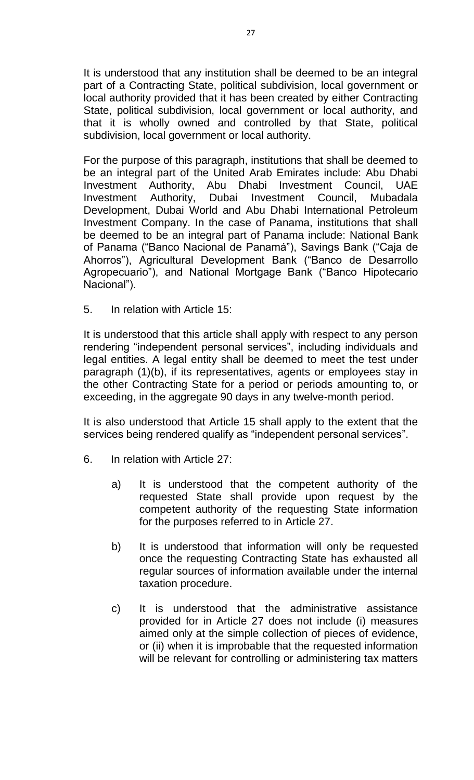It is understood that any institution shall be deemed to be an integral part of a Contracting State, political subdivision, local government or local authority provided that it has been created by either Contracting State, political subdivision, local government or local authority, and that it is wholly owned and controlled by that State, political subdivision, local government or local authority.

For the purpose of this paragraph, institutions that shall be deemed to be an integral part of the United Arab Emirates include: Abu Dhabi Investment Authority, Abu Dhabi Investment Council, UAE Investment Authority, Dubai Investment Council, Mubadala Development, Dubai World and Abu Dhabi International Petroleum Investment Company. In the case of Panama, institutions that shall be deemed to be an integral part of Panama include: National Bank of Panama ("Banco Nacional de Panamá"), Savings Bank ("Caja de Ahorros"), Agricultural Development Bank ("Banco de Desarrollo Agropecuario"), and National Mortgage Bank ("Banco Hipotecario Nacional").

5. In relation with Article 15:

It is understood that this article shall apply with respect to any person rendering "independent personal services", including individuals and legal entities. A legal entity shall be deemed to meet the test under paragraph (1)(b), if its representatives, agents or employees stay in the other Contracting State for a period or periods amounting to, or exceeding, in the aggregate 90 days in any twelve-month period.

It is also understood that Article 15 shall apply to the extent that the services being rendered qualify as "independent personal services".

- 6. In relation with Article 27:
	- a) It is understood that the competent authority of the requested State shall provide upon request by the competent authority of the requesting State information for the purposes referred to in Article 27.
	- b) It is understood that information will only be requested once the requesting Contracting State has exhausted all regular sources of information available under the internal taxation procedure.
	- c) It is understood that the administrative assistance provided for in Article 27 does not include (i) measures aimed only at the simple collection of pieces of evidence, or (ii) when it is improbable that the requested information will be relevant for controlling or administering tax matters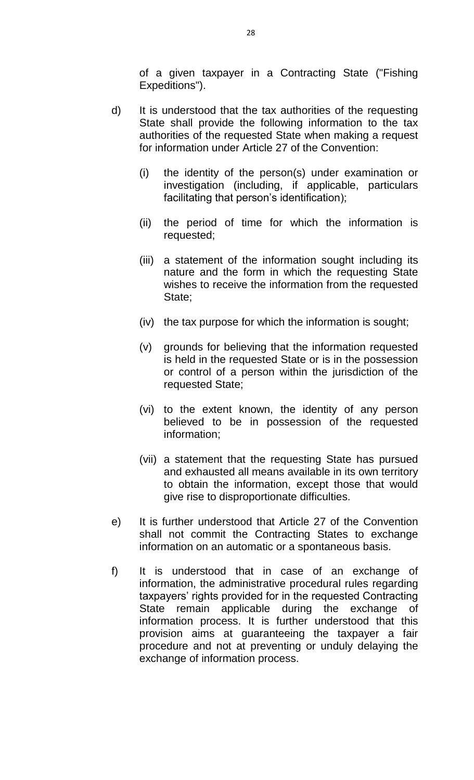of a given taxpayer in a Contracting State ("Fishing Expeditions").

- d) It is understood that the tax authorities of the requesting State shall provide the following information to the tax authorities of the requested State when making a request for information under Article 27 of the Convention:
	- (i) the identity of the person(s) under examination or investigation (including, if applicable, particulars facilitating that person's identification);
	- (ii) the period of time for which the information is requested;
	- (iii) a statement of the information sought including its nature and the form in which the requesting State wishes to receive the information from the requested State;
	- (iv) the tax purpose for which the information is sought;
	- (v) grounds for believing that the information requested is held in the requested State or is in the possession or control of a person within the jurisdiction of the requested State;
	- (vi) to the extent known, the identity of any person believed to be in possession of the requested information;
	- (vii) a statement that the requesting State has pursued and exhausted all means available in its own territory to obtain the information, except those that would give rise to disproportionate difficulties.
- e) It is further understood that Article 27 of the Convention shall not commit the Contracting States to exchange information on an automatic or a spontaneous basis.
- f) It is understood that in case of an exchange of information, the administrative procedural rules regarding taxpayers' rights provided for in the requested Contracting State remain applicable during the exchange of information process. It is further understood that this provision aims at guaranteeing the taxpayer a fair procedure and not at preventing or unduly delaying the exchange of information process.